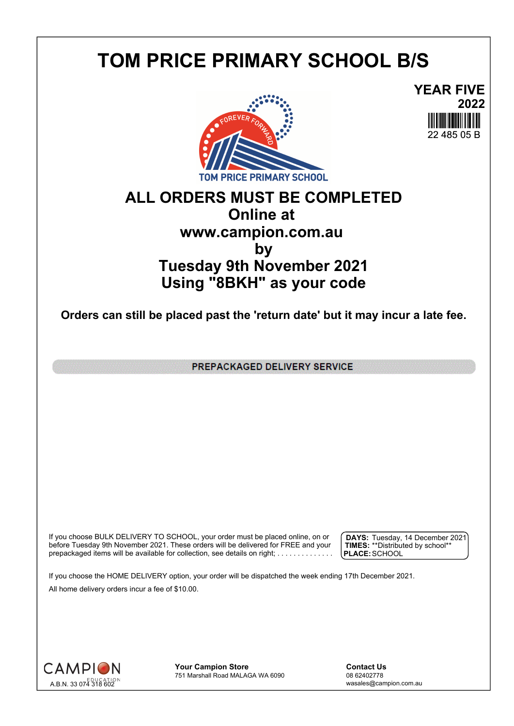## **TOM PRICE PRIMARY SCHOOL B/S**





## **ALL ORDERS MUST BE COMPLETED Online at www.campion.com.au by Tuesday 9th November 2021 Using "8BKH" as your code**

**Orders can still be placed past the 'return date' but it may incur a late fee.**

PREPACKAGED DELIVERY SERVICE

If you choose BULK DELIVERY TO SCHOOL, your order must be placed online, on or  $\int$  DAYS: Tuesday, 1 before Tuesday 9th November 2021. These orders will be delivered for FREE and your  $\;\;\;$  **| TIMES:** \*\*Distribute prepackaged items will be available for collection, see details on right; . . . . . . . . . . . . . . .

**DAYS:** Tuesday, 14 December 2021 **TIMES:** \*\*Distributed by school\*\* **PLACE:**SCHOOL

If you choose the HOME DELIVERY option, your order will be dispatched the week ending 17th December 2021. All home delivery orders incur a fee of \$10.00.



**Your Campion Store**<br>
751 Marshall Road MALAGA WA 6090<br>
08 62402778 751 Marshall Road MALAGA WA 6090

wasales@campion.com.au